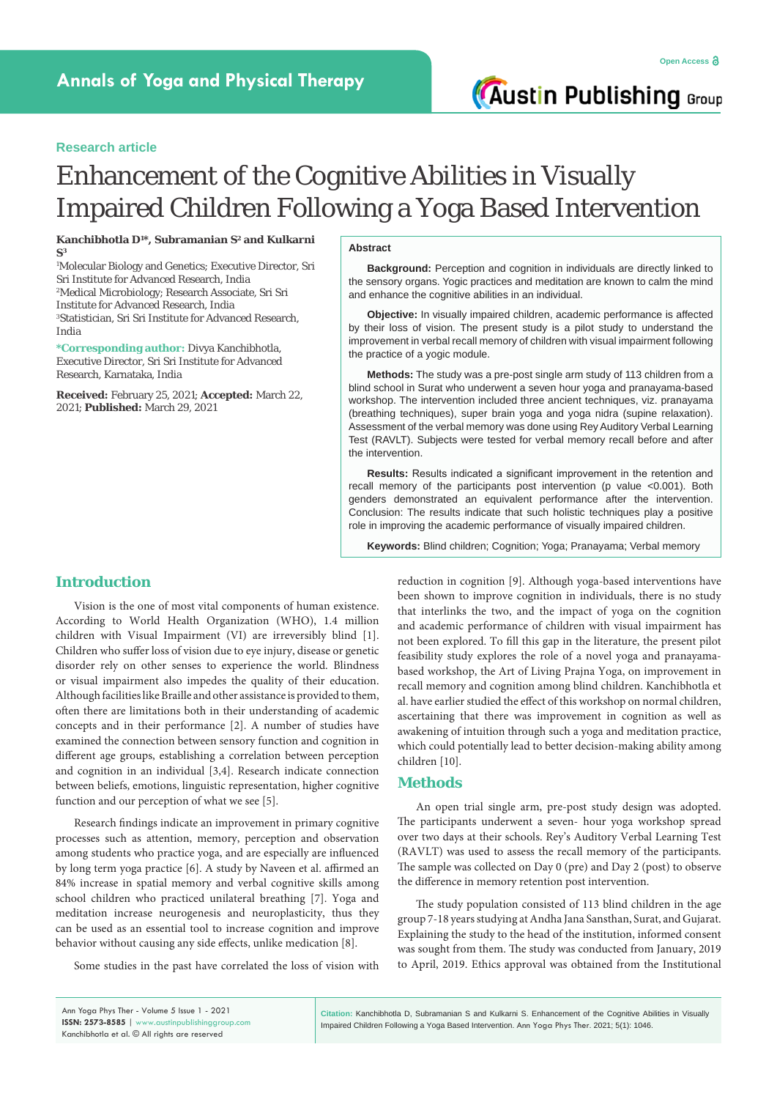# **Research article**

# Enhancement of the Cognitive Abilities in Visually Impaired Children Following a Yoga Based Intervention

**Kanchibhotla D1 \*, Subramanian S2 and Kulkarni S3**

1 Molecular Biology and Genetics; Executive Director, Sri Sri Institute for Advanced Research, India 2 Medical Microbiology; Research Associate, Sri Sri Institute for Advanced Research, India 3 Statistician, Sri Sri Institute for Advanced Research, India

**\*Corresponding author:** Divya Kanchibhotla, Executive Director, Sri Sri Institute for Advanced Research, Karnataka, India

**Received:** February 25, 2021; **Accepted:** March 22, 2021; **Published:** March 29, 2021

#### **Abstract**

**Background:** Perception and cognition in individuals are directly linked to the sensory organs. Yogic practices and meditation are known to calm the mind and enhance the cognitive abilities in an individual.

**Objective:** In visually impaired children, academic performance is affected by their loss of vision. The present study is a pilot study to understand the improvement in verbal recall memory of children with visual impairment following the practice of a yogic module.

**Methods:** The study was a pre-post single arm study of 113 children from a blind school in Surat who underwent a seven hour yoga and pranayama-based workshop. The intervention included three ancient techniques, viz. pranayama (breathing techniques), super brain yoga and yoga nidra (supine relaxation). Assessment of the verbal memory was done using Rey Auditory Verbal Learning Test (RAVLT). Subjects were tested for verbal memory recall before and after the intervention.

**Results:** Results indicated a significant improvement in the retention and recall memory of the participants post intervention (p value <0.001). Both genders demonstrated an equivalent performance after the intervention. Conclusion: The results indicate that such holistic techniques play a positive role in improving the academic performance of visually impaired children.

**Keywords:** Blind children; Cognition; Yoga; Pranayama; Verbal memory

# **Introduction**

Vision is the one of most vital components of human existence. According to World Health Organization (WHO), 1.4 million children with Visual Impairment (VI) are irreversibly blind [1]. Children who suffer loss of vision due to eye injury, disease or genetic disorder rely on other senses to experience the world. Blindness or visual impairment also impedes the quality of their education. Although facilities like Braille and other assistance is provided to them, often there are limitations both in their understanding of academic concepts and in their performance [2]. A number of studies have examined the connection between sensory function and cognition in different age groups, establishing a correlation between perception and cognition in an individual [3,4]. Research indicate connection between beliefs, emotions, linguistic representation, higher cognitive function and our perception of what we see [5].

Research findings indicate an improvement in primary cognitive processes such as attention, memory, perception and observation among students who practice yoga, and are especially are influenced by long term yoga practice [6]. A study by Naveen et al. affirmed an 84% increase in spatial memory and verbal cognitive skills among school children who practiced unilateral breathing [7]. Yoga and meditation increase neurogenesis and neuroplasticity, thus they can be used as an essential tool to increase cognition and improve behavior without causing any side effects, unlike medication [8].

Some studies in the past have correlated the loss of vision with

reduction in cognition [9]. Although yoga-based interventions have been shown to improve cognition in individuals, there is no study that interlinks the two, and the impact of yoga on the cognition and academic performance of children with visual impairment has not been explored. To fill this gap in the literature, the present pilot feasibility study explores the role of a novel yoga and pranayamabased workshop, the Art of Living Prajna Yoga, on improvement in recall memory and cognition among blind children. Kanchibhotla et al. have earlier studied the effect of this workshop on normal children, ascertaining that there was improvement in cognition as well as awakening of intuition through such a yoga and meditation practice, which could potentially lead to better decision-making ability among children [10].

# **Methods**

An open trial single arm, pre-post study design was adopted. The participants underwent a seven- hour yoga workshop spread over two days at their schools. Rey's Auditory Verbal Learning Test (RAVLT) was used to assess the recall memory of the participants. The sample was collected on Day 0 (pre) and Day 2 (post) to observe the difference in memory retention post intervention.

The study population consisted of 113 blind children in the age group 7-18 years studying at Andha Jana Sansthan, Surat, and Gujarat. Explaining the study to the head of the institution, informed consent was sought from them. The study was conducted from January, 2019 to April, 2019. Ethics approval was obtained from the Institutional

**Citation:** Kanchibhotla D, Subramanian S and Kulkarni S. Enhancement of the Cognitive Abilities in Visually Impaired Children Following a Yoga Based Intervention. Ann Yoga Phys Ther. 2021; 5(1): 1046.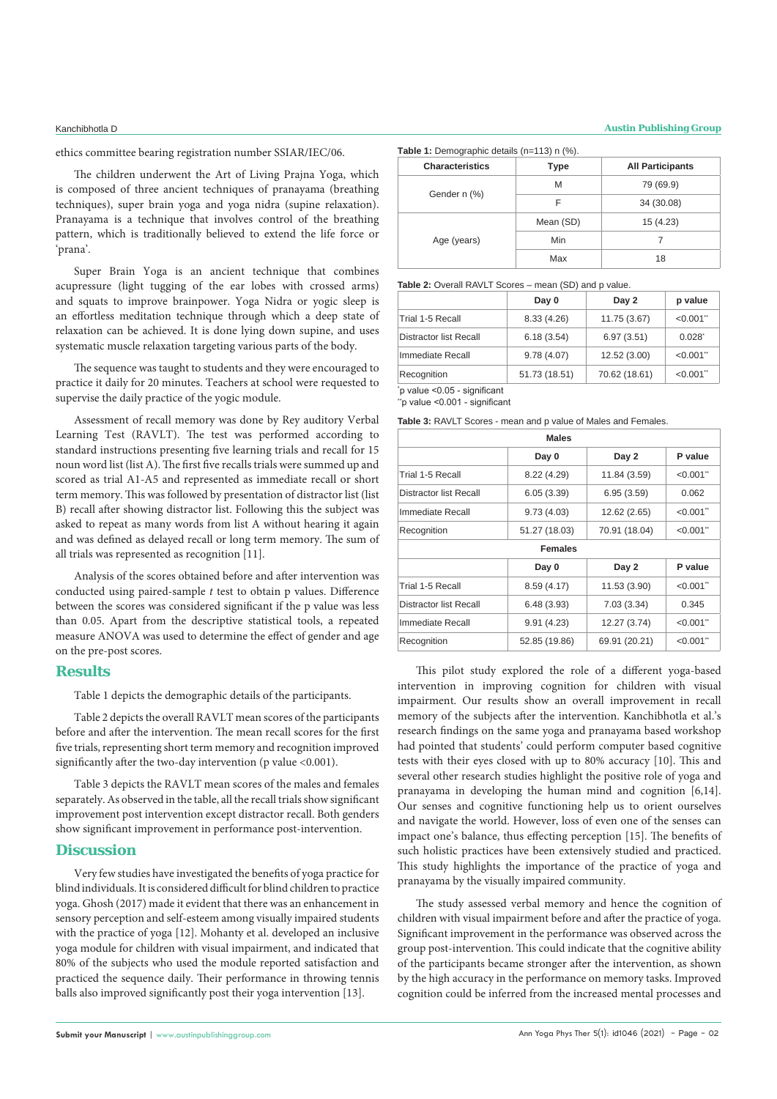ethics committee bearing registration number SSIAR/IEC/06.

The children underwent the Art of Living Prajna Yoga, which is composed of three ancient techniques of pranayama (breathing techniques), super brain yoga and yoga nidra (supine relaxation). Pranayama is a technique that involves control of the breathing pattern, which is traditionally believed to extend the life force or 'prana'.

Super Brain Yoga is an ancient technique that combines acupressure (light tugging of the ear lobes with crossed arms) and squats to improve brainpower. Yoga Nidra or yogic sleep is an effortless meditation technique through which a deep state of relaxation can be achieved. It is done lying down supine, and uses systematic muscle relaxation targeting various parts of the body.

The sequence was taught to students and they were encouraged to practice it daily for 20 minutes. Teachers at school were requested to supervise the daily practice of the yogic module.

Assessment of recall memory was done by Rey auditory Verbal Learning Test (RAVLT). The test was performed according to standard instructions presenting five learning trials and recall for 15 noun word list (list A). The first five recalls trials were summed up and scored as trial A1-A5 and represented as immediate recall or short term memory. This was followed by presentation of distractor list (list B) recall after showing distractor list. Following this the subject was asked to repeat as many words from list A without hearing it again and was defined as delayed recall or long term memory. The sum of all trials was represented as recognition [11].

Analysis of the scores obtained before and after intervention was conducted using paired-sample *t* test to obtain p values. Difference between the scores was considered significant if the p value was less than 0.05. Apart from the descriptive statistical tools, a repeated measure ANOVA was used to determine the effect of gender and age on the pre-post scores.

### **Results**

Table 1 depicts the demographic details of the participants.

Table 2 depicts the overall RAVLT mean scores of the participants before and after the intervention. The mean recall scores for the first five trials, representing short term memory and recognition improved significantly after the two-day intervention (p value <0.001).

Table 3 depicts the RAVLT mean scores of the males and females separately. As observed in the table, all the recall trials show significant improvement post intervention except distractor recall. Both genders show significant improvement in performance post-intervention.

# **Discussion**

Very few studies have investigated the benefits of yoga practice for blind individuals. It is considered difficult for blind children to practice yoga. Ghosh (2017) made it evident that there was an enhancement in sensory perception and self-esteem among visually impaired students with the practice of yoga [12]. Mohanty et al. developed an inclusive yoga module for children with visual impairment, and indicated that 80% of the subjects who used the module reported satisfaction and practiced the sequence daily. Their performance in throwing tennis balls also improved significantly post their yoga intervention [13].

#### Kanchibhotla D **Austin Publishing Group**

| <b>Characteristics</b> | <b>Type</b> | <b>All Participants</b> |
|------------------------|-------------|-------------------------|
| Gender n (%)           | M           | 79 (69.9)               |
|                        | F           | 34 (30.08)              |
| Age (years)            | Mean (SD)   | 15 (4.23)               |
|                        | <b>Min</b>  |                         |
|                        | Max         | 18                      |

| Table 2: Overall RAVLT Scores - mean (SD) and p value. |
|--------------------------------------------------------|
|--------------------------------------------------------|

|                        | Day 0         | Day 2         | p value     |
|------------------------|---------------|---------------|-------------|
| Trial 1-5 Recall       | 8.33(4.26)    | 11.75 (3.67)  | < 0.001     |
| Distractor list Recall | 6.18(3.54)    | 6.97(3.51)    | $0.028^{*}$ |
| Immediate Recall       | 9.78(4.07)    | 12.52 (3.00)  | $< 0.001$ " |
| Recognition            | 51.73 (18.51) | 70.62 (18.61) | $< 0.001$ " |

\* p value <0.05 - significant "p value <0.001 - significant

**Table 3:** RAVLT Scores - mean and p value of Males and Females.

| <b>Males</b>   |               |             |  |  |
|----------------|---------------|-------------|--|--|
| Day 0          | Day 2         | P value     |  |  |
| 8.22 (4.29)    | 11.84 (3.59)  | $< 0.001$ " |  |  |
| 6.05(3.39)     | 6.95(3.59)    | 0.062       |  |  |
| 9.73(4.03)     | 12.62 (2.65)  | $< 0.001$ " |  |  |
| 51.27 (18.03)  | 70.91 (18.04) | $< 0.001$ " |  |  |
| <b>Females</b> |               |             |  |  |
| Day 0          | Day 2         | P value     |  |  |
| 8.59(4.17)     | 11.53 (3.90)  | $< 0.001$ " |  |  |
| 6.48(3.93)     | 7.03(3.34)    | 0.345       |  |  |
| 9.91(4.23)     | 12.27 (3.74)  | $< 0.001$ " |  |  |
| 52.85 (19.86)  | 69.91 (20.21) | $< 0.001$ " |  |  |
|                |               |             |  |  |

This pilot study explored the role of a different yoga-based intervention in improving cognition for children with visual impairment. Our results show an overall improvement in recall memory of the subjects after the intervention. Kanchibhotla et al.'s research findings on the same yoga and pranayama based workshop had pointed that students' could perform computer based cognitive tests with their eyes closed with up to 80% accuracy [10]. This and several other research studies highlight the positive role of yoga and pranayama in developing the human mind and cognition [6,14]. Our senses and cognitive functioning help us to orient ourselves and navigate the world. However, loss of even one of the senses can impact one's balance, thus effecting perception [15]. The benefits of such holistic practices have been extensively studied and practiced. This study highlights the importance of the practice of yoga and pranayama by the visually impaired community.

The study assessed verbal memory and hence the cognition of children with visual impairment before and after the practice of yoga. Significant improvement in the performance was observed across the group post-intervention. This could indicate that the cognitive ability of the participants became stronger after the intervention, as shown by the high accuracy in the performance on memory tasks. Improved cognition could be inferred from the increased mental processes and